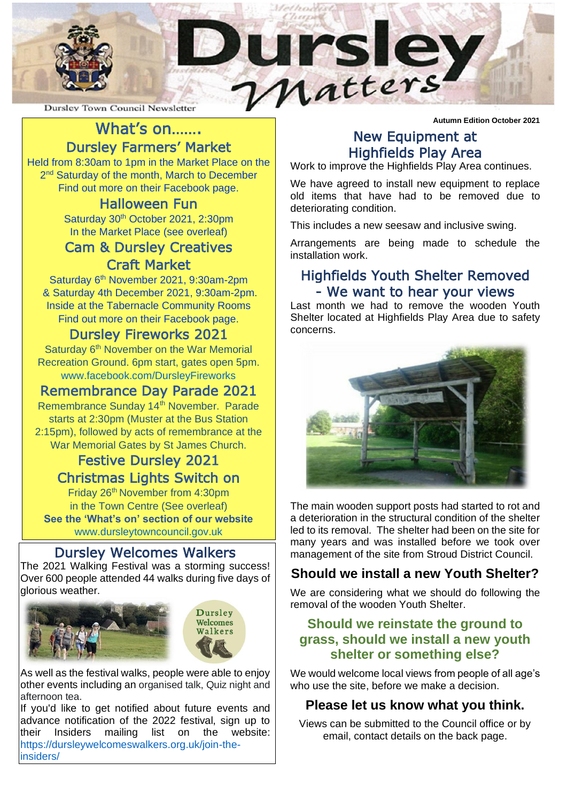

## What's on……. Dursley Farmers' Market

Held from 8:30am to 1pm in the Market Place on the 2<sup>nd</sup> Saturday of the month, March to December Find out more on their Facebook page.

## Halloween Fun

Saturday 30<sup>th</sup> October 2021, 2:30pm In the Market Place (see overleaf)

## Cam & Dursley Creatives Craft Market

Saturday 6<sup>th</sup> November 2021, 9:30am-2pm & Saturday 4th December 2021, 9:30am-2pm. Inside at the Tabernacle Community Rooms Find out more on their Facebook page.

## Dursley Fireworks 2021

Saturday 6<sup>th</sup> November on the War Memorial Recreation Ground. 6pm start, gates open 5pm. [www.facebook.com/DursleyFireworks](http://www.facebook.com/DursleyFireworks)

## Remembrance Day Parade 2021

Remembrance Sunday 14<sup>th</sup> November. Parade starts at 2:30pm (Muster at the Bus Station 2:15pm), followed by acts of remembrance at the War Memorial Gates by St James Church.

## Festive Dursley 2021 Christmas Lights Switch on

Friday 26th November from 4:30pm in the Town Centre (See overleaf) **See the 'What's on' section of our website**  [www.dursleytowncouncil.gov.uk](http://www.dursleytowncouncil.gov.uk/)

## Dursley Welcomes Walkers

The 2021 Walking Festival was a storming success! Over 600 people attended 44 walks during five days of glorious weather.



As well as the festival walks, people were able to enjoy other events including an organised talk, Quiz night and afternoon tea.

If you'd like to get notified about future events and advance notification of the 2022 festival, sign up to their Insiders mailing list on the website: [https://dursleywelcomeswalkers.org.uk/join-the](https://dursleywelcomeswalkers.org.uk/join-the-insiders/)[insiders/](https://dursleywelcomeswalkers.org.uk/join-the-insiders/)

**Autumn Edition October 2021**

# New Equipment at Highfields Play Area

Work to improve the Highfields Play Area continues.

We have agreed to install new equipment to replace old items that have had to be removed due to deteriorating condition.

This includes a new seesaw and inclusive swing.

Arrangements are being made to schedule the installation work.

## Highfields Youth Shelter Removed - We want to hear your views

Last month we had to remove the wooden Youth Shelter located at Highfields Play Area due to safety concerns.



The main wooden support posts had started to rot and a deterioration in the structural condition of the shelter led to its removal. The shelter had been on the site for many years and was installed before we took over management of the site from Stroud District Council.

## **Should we install a new Youth Shelter?**

We are considering what we should do following the removal of the wooden Youth Shelter.

### **Should we reinstate the ground to grass, should we install a new youth shelter or something else?**

We would welcome local views from people of all age's who use the site, before we make a decision.

## **Please let us know what you think.**

Views can be submitted to the Council office or by email, contact details on the back page.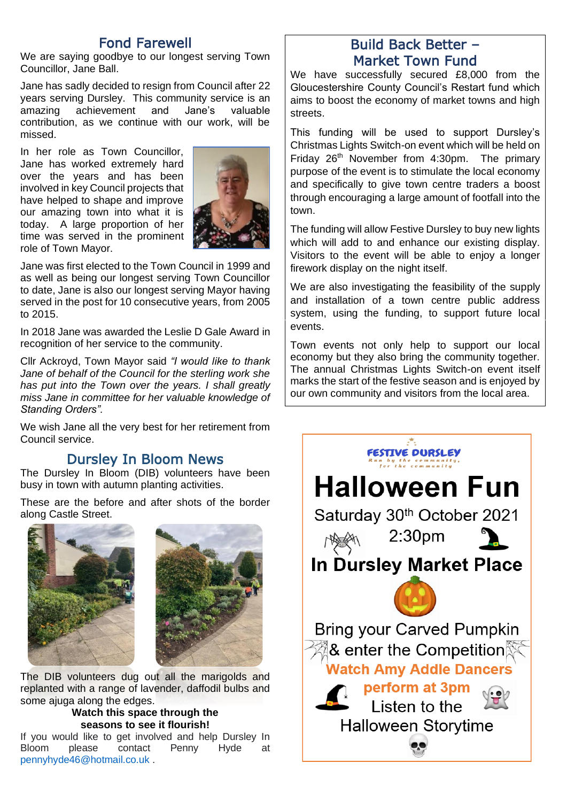## Fond Farewell

We are saying goodbye to our longest serving Town Councillor, Jane Ball.

Jane has sadly decided to resign from Council after 22 years serving Dursley. This community service is an amazing achievement and Jane's valuable contribution, as we continue with our work, will be missed.

In her role as Town Councillor, Jane has worked extremely hard over the years and has been involved in key Council projects that have helped to shape and improve our amazing town into what it is today. A large proportion of her time was served in the prominent role of Town Mayor.



Jane was first elected to the Town Council in 1999 and as well as being our longest serving Town Councillor to date, Jane is also our longest serving Mayor having served in the post for 10 consecutive years, from 2005 to 2015.

In 2018 Jane was awarded the Leslie D Gale Award in recognition of her service to the community.

Cllr Ackroyd, Town Mayor said *"I would like to thank Jane of behalf of the Council for the sterling work she has put into the Town over the years. I shall greatly miss Jane in committee for her valuable knowledge of Standing Orders".*

We wish Jane all the very best for her retirement from Council service.

# Dursley In Bloom News

The Dursley In Bloom (DIB) volunteers have been busy in town with autumn planting activities.

These are the before and after shots of the border along Castle Street.



The DIB volunteers dug out all the marigolds and replanted with a range of lavender, daffodil bulbs and some ajuga along the edges.

#### **Watch this space through the seasons to see it flourish!**

If you would like to get involved and help Dursley In Bloom please contact Penny Hyde at [pennyhyde46@hotmail.co.uk](mailto:pennyhyde46@hotmail.co.uk) .

## Build Back Better – Market Town Fund

We have successfully secured £8,000 from the Gloucestershire County Council's Restart fund which aims to boost the economy of market towns and high streets.

This funding will be used to support Dursley's Christmas Lights Switch-on event which will be held on Friday 26th November from 4:30pm. The primary purpose of the event is to stimulate the local economy and specifically to give town centre traders a boost through encouraging a large amount of footfall into the town.

The funding will allow Festive Dursley to buy new lights which will add to and enhance our existing display. Visitors to the event will be able to enjoy a longer firework display on the night itself.

We are also investigating the feasibility of the supply and installation of a town centre public address system, using the funding, to support future local events.

Town events not only help to support our local economy but they also bring the community together. The annual Christmas Lights Switch-on event itself marks the start of the festive season and is enjoyed by our own community and visitors from the local area.

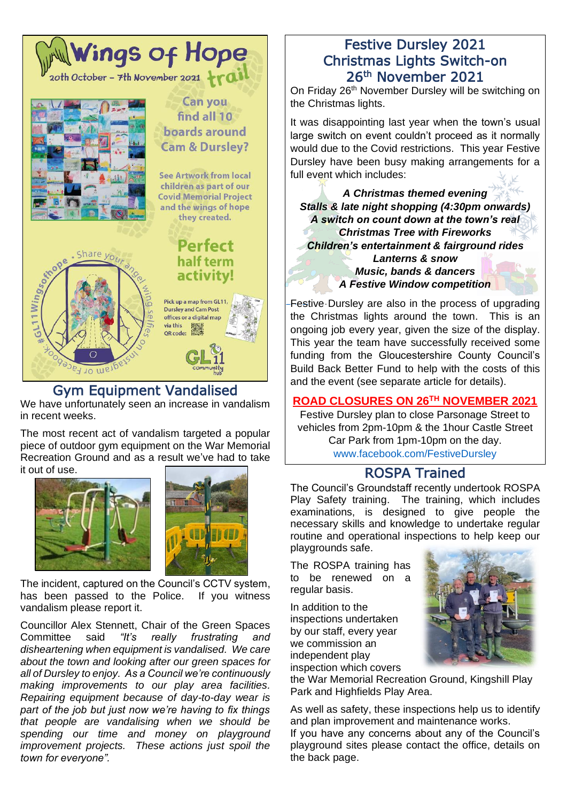

## Gym Equipment Vandalised

We have unfortunately seen an increase in vandalism in recent weeks.

The most recent act of vandalism targeted a popular piece of outdoor gym equipment on the War Memorial Recreation Ground and as a result we've had to take it out of use.





The incident, captured on the Council's CCTV system, has been passed to the Police. If you witness vandalism please report it.

Councillor Alex Stennett, Chair of the Green Spaces Committee said *"It's really frustrating and disheartening when equipment is vandalised. We care about the town and looking after our green spaces for all of Dursley to enjoy. As a Council we're continuously making improvements to our play area facilities. Repairing equipment because of day-to-day wear is part of the job but just now we're having to fix things that people are vandalising when we should be spending our time and money on playground improvement projects. These actions just spoil the town for everyone".*

## Festive Dursley 2021 Christmas Lights Switch-on 26th November 2021

On Friday 26<sup>th</sup> November Dursley will be switching on the Christmas lights.

It was disappointing last year when the town's usual large switch on event couldn't proceed as it normally would due to the Covid restrictions. This year Festive Dursley have been busy making arrangements for a full event which includes:

*A Christmas themed evening Stalls & late night shopping (4:30pm onwards) A switch on count down at the town's real Christmas Tree with Fireworks Children's entertainment & fairground rides Lanterns & snow Music, bands & dancers*

*A Festive Window competition*

-Festive Dursley are also in the process of upgrading the Christmas lights around the town. This is an ongoing job every year, given the size of the display. [This ye](https://creativecommons.org/licenses/by-sa/3.0/)ar the team have successfully received some funding from the Gloucestershire County Council's Build Back Better Fund to help with the costs of this and the event (see separate article for details).

#### **ROAD CLOSURES ON 26TH NOVEMBER 2021**

Festive Dursley plan to close Parsonage Street to vehicles from 2pm-10pm & the 1hour Castle Street Car Park from 1pm-10pm on the day. [www.facebook.com/FestiveDursley](http://www.facebook.com/FestiveDursley)

## ROSPA Trained

The Council's Groundstaff recently undertook ROSPA Play Safety training. The training, which includes examinations, is designed to give people the necessary skills and knowledge to undertake regular routine and operational inspections to help keep our playgrounds safe.

The ROSPA training has to be renewed on a regular basis.

In addition to the inspections undertaken by our staff, every year we commission an independent play inspection which covers



the War Memorial Recreation Ground, Kingshill Play Park and Highfields Play Area.

As well as safety, these inspections help us to identify and plan improvement and maintenance works.

If you have any concerns about any of the Council's playground sites please contact the office, details on the back page.